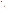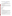# **Consumer Factsheet on: 1,2-DICHLOROETHANE**

# [List of Contaminants](http://www.epa.gov/safewater/hfacts.html)

 As part of the Drinking Water and Health pages, this fact sheet is part of a larger publication: **National Primary Drinking Water Regulations** 

 States Environmental Protection Agency (EPA). This is a factsheet about a chemical that may be found in some public or private drinking water supplies. It may cause health problems if found in amounts greater than the health standard set by the United

# **What is 1,2-DCA and how is it used?**

1,2-Dichloroethane (1,2-DCA) is a colorless, oily, organic liquid with a sweet, chloroform-like odor. The greatest use of 1,2-dichloroethane is in making chemicals involved in plastics, rubber and synthetic textile fibers. Other uses include: as a solvent for resins and fats, photography, photocopying, cosmetics, drugs; and as a fumigant for grains and orchards.

 The list of trade names given below may help you find out whether you are using this chemical at home or work.

# **Trade Names and Synonyms:**

 Destruxol borer-sol 1,2-Ethylene dichloride Glycol dichloride Freon 150 Borer sol Brocide Dichlor-mulsion Dutch oil Granosan

#### **Why is 1,2-DCA being Regulated?**

 based solely on possible health risks and exposure, are called Maximum Contaminant Level Goals. In 1974, Congress passed the Safe Drinking Water Act. This law requires EPA to determine safe levels of chemicals in drinking water which do or may cause health problems. These non-enforceable levels,

 would not cause any of the potential health problems described below. The MCLG for 1,2-dichloroethane has been set at zero because EPA believes this level of protection

 Based on this MCLG, EPA has set an enforceable standard called a Maximum Contaminant Level (MCL). MCLs are set as close to the MCLGs as possible, considering the ability of public water systems to detect and remove contaminants using suitable treatment technologies.

 contaminant should it occur in drinking water. The MCL has been set at 5 parts per billion (ppb) because EPA believes, given present technology and resources, this is the lowest level to which water systems can reasonably be required to remove this

These drinking water standards and the regulations for ensuring these standards are met, are called National Primary Drinking Water Regulations. All public water supplies must abide by these regulations.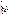# **What are the Health Effects?**

 people are exposed to it at levels above the MCL for relatively short periods of time: central nervous system disorders, and adverse lung, kidney, liver circulatory and gastrointestinal effects. Short-term: EPA has found 1,2-dichloroethane to potentially cause the following health effects when

 levels above the MCL: cancer. Long-term: 1,2-Dichloroethane has the potential to cause the following effects from a lifetime exposure at

#### **How much 1,2-DCA is produced and released to the environment?**

Production of 1,2-dichloroethane was 18 billion lbs. in 1993. It is released in waste water, spills, and/or improper disposal primarily from its use as a cleaning solvent, in making other organics, and in pesticides.

 From 1987 to 1993, according to the Toxics Release Inventory, releases to water and land totalled over 455,000 lbs. These releases were primarily from facilities which make industrial organic chemicals, alkalis and chlorine. The largest releases occurred in New Jersey and Louisiana.

#### **What happens to 1,2-DCA when it is released to the environment?**

 While releases to water or soil will evaporate quickly, 1,2-dichloroethane will also leach into groundwater rapidly where it is likely to persist for a very long time. There is little degradation by microbes. 1,2- Dichloroethane is not expected to accumulate in fish.

# **How will 1,2-DCA be Detected in and Removed from My Drinking Water?**

monitor this contaminant. The regulation for 1,2-dichloroethane became effective in 1989. Between 1993 and 1995, EPA required your water supplier to collect water samples every 3 months for one year and analyze them to find out if 1,2-dichloroethane is present above 0.5 ppb. If it is present above this level, the system must continue to

 reduce the amount of 1,2-dichloroethane so that it is consistently below that level. The following treatment combination with Packed Tower Aeration. If contaminant levels are found to be consistently above the MCL, your water supplier must take steps to methods have been approved by EPA for removing 1,2-dichloroethane: Granular activated charcoal in

#### **How will I know if 1,2-DCA is in my drinking water?**

 newspapers, radio, TV and other means. Additional actions, such as providing alternative drinking water If the levels of 1,2-dichloroethane exceed the MCL, 5 ppb, the system must notify the public via supplies, may be required to prevent serious risks to public health.

#### **Drinking Water Standards:**

Mclg: zero Mclg: zero<br>Mcl: 5 ppb

**1,2-DCA Releases to Water and Land, 1987 to 1993 (in pounds): Water Land** 

**TOTALS (in pounds) 433,056 22,616 Top Six States\***